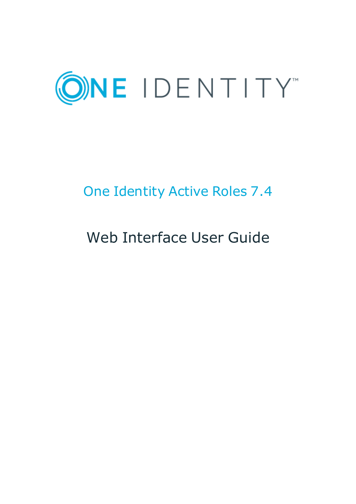

# One Identity Active Roles 7.4

# Web Interface User Guide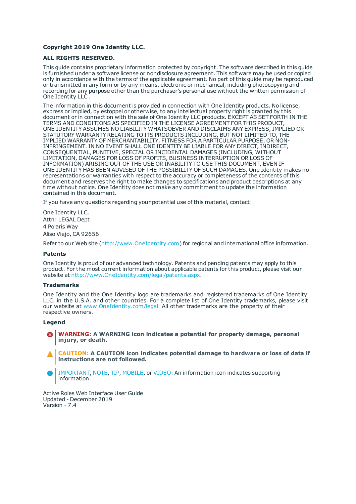#### **Copyright 2019 One Identity LLC.**

#### **ALL RIGHTS RESERVED.**

This guide contains proprietary information protected by copyright. The software described in this guide is furnished under a software license or nondisclosure agreement. This software may be used or copied only in accordance with the terms of the applicable agreement. No part of this guide may be reproduced or transmitted in any form or by any means, electronic or mechanical, including photocopying and recording for any purpose other than the purchaser's personal use without the written permission of One Identity LLC .

The information in this document is provided in connection with One Identity products. No license, express or implied, by estoppel or otherwise, to any intellectual property right is granted by this document or in connection with the sale of One Identity LLC products. EXCEPT AS SET FORTH IN THE TERMS AND CONDITIONS AS SPECIFIED IN THE LICENSE AGREEMENT FOR THIS PRODUCT, ONE IDENTITY ASSUMES NO LIABILITY WHATSOEVER AND DISCLAIMS ANY EXPRESS, IMPLIED OR STATUTORY WARRANTY RELATING TO ITS PRODUCTS INCLUDING, BUT NOT LIMITED TO, THE IMPLIED WARRANTY OF MERCHANTABILITY, FITNESS FOR A PARTICULAR PURPOSE, OR NON-INFRINGEMENT. IN NO EVENT SHALL ONE IDENTITY BE LIABLE FOR ANY DIRECT, INDIRECT, CONSEQUENTIAL, PUNITIVE, SPECIAL OR INCIDENTAL DAMAGES (INCLUDING, WITHOUT LIMITATION, DAMAGES FOR LOSS OF PROFITS, BUSINESS INTERRUPTION OR LOSS OF INFORMATION) ARISING OUT OF THE USE OR INABILITY TO USE THIS DOCUMENT, EVEN IF ONE IDENTITY HAS BEEN ADVISED OF THE POSSIBILITY OF SUCH DAMAGES. One Identity makes no representations or warranties with respect to the accuracy or completeness of the contents of this document and reserves the right to make changes to specifications and product descriptions at any time without notice. One Identity does not make any commitment to update the information contained in this document.

If you have any questions regarding your potential use of this material, contact:

One Identity LLC. Attn: LEGAL Dept 4 Polaris Way Aliso Viejo, CA 92656

Refer to our Web site ([http://www.OneIdentity.com](http://www.oneidentity.com/)) for regional and international office information.

#### **Patents**

One Identity is proud of our advanced technology. Patents and pending patents may apply to this product. For the most current information about applicable patents for this product, please visit our website at [http://www.OneIdentity.com/legal/patents.aspx](http://www.oneidentity.com/legal/patents.aspx).

#### **Trademarks**

One Identity and the One Identity logo are trademarks and registered trademarks of One Identity LLC. in the U.S.A. and other countries. For a complete list of One Identity trademarks, please visit our website at [www.OneIdentity.com/legal](http://www.oneidentity.com/legal). All other trademarks are the property of their respective owners.

#### **Legend**

- **WARNING: A WARNING icon indicates a potential for property damage, personal injury, or death.**
- **CAUTION: A CAUTION icon indicates potential damage to hardware or loss of data if instructions are not followed.**
- IMPORTANT, NOTE, TIP, MOBILE, or VIDEO: An information icon indicates supporting Œ information.

Active Roles Web Interface User Guide Updated - December 2019 Version - 7.4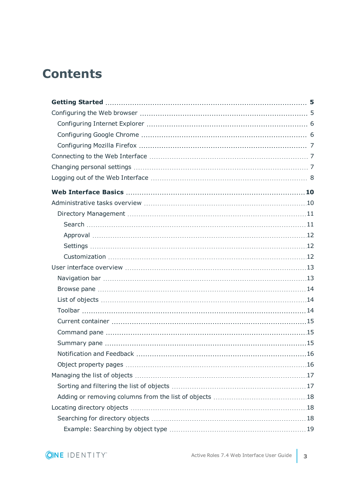## **Contents**

| Object property pages | .16 |
|-----------------------|-----|
|                       |     |
|                       |     |
|                       |     |
|                       |     |
|                       |     |
|                       |     |

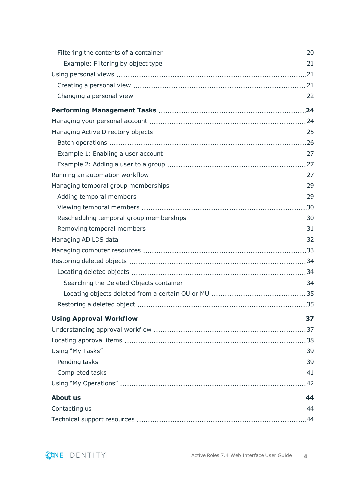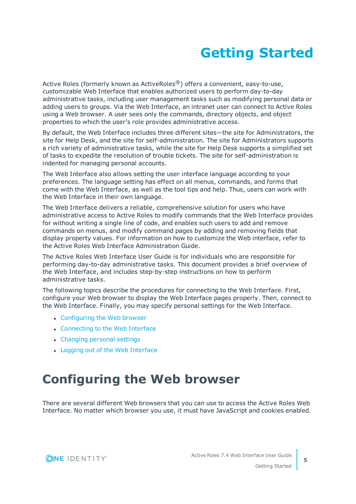# **Getting Started**

<span id="page-4-0"></span>Active Roles (formerly known as ActiveRoles<sup>®</sup>) offers a convenient, easy-to-use, customizable Web Interface that enables authorized users to perform day-to-day administrative tasks, including user management tasks such as modifying personal data or adding users to groups. Via the Web Interface, an intranet user can connect to Active Roles using a Web browser. A user sees only the commands, directory objects, and object properties to which the user's role provides administrative access.

By default, the Web Interface includes three different sites—the site for Administrators, the site for Help Desk, and the site for self-administration. The site for Administrators supports a rich variety of administrative tasks, while the site for Help Desk supports a simplified set of tasks to expedite the resolution of trouble tickets. The site for self-administration is indented for managing personal accounts.

The Web Interface also allows setting the user interface language according to your preferences. The language setting has effect on all menus, commands, and forms that come with the Web Interface, as well as the tool tips and help. Thus, users can work with the Web Interface in their own language.

The Web Interface delivers a reliable, comprehensive solution for users who have administrative access to Active Roles to modify commands that the Web Interface provides for without writing a single line of code, and enables such users to add and remove commands on menus, and modify command pages by adding and removing fields that display property values. For information on how to customize the Web interface, refer to the Active Roles Web Interface Administration Guide.

The Active Roles Web Interface User Guide is for individuals who are responsible for performing day-to-day administrative tasks. This document provides a brief overview of the Web Interface, and includes step-by-step instructions on how to perform administrative tasks.

The following topics describe the procedures for connecting to the Web Interface. First, configure your Web browser to display the Web Interface pages properly. Then, connect to the Web Interface. Finally, you may specify personal settings for the Web Interface.

- [Configuring](#page-4-1) the Web browser
- [Connecting](#page-6-1) to the Web Interface
- [Changing](#page-6-2) personal settings
- Logging out of the Web [Interface](#page-7-0)

# <span id="page-4-1"></span>**Configuring the Web browser**

There are several different Web browsers that you can use to access the Active Roles Web Interface. No matter which browser you use, it must have JavaScript and cookies enabled.

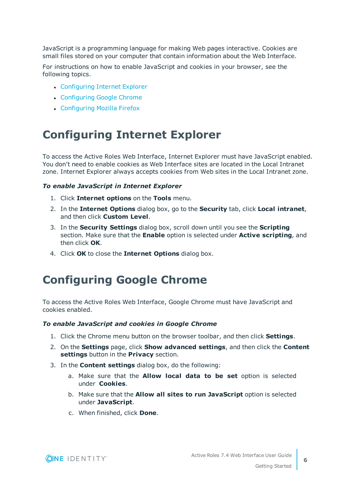JavaScript is a programming language for making Web pages interactive. Cookies are small files stored on your computer that contain information about the Web Interface.

For instructions on how to enable JavaScript and cookies in your browser, see the following topics.

- [Configuring](#page-5-0) Internet Explorer
- [Configuring](#page-5-1) Google Chrome
- [Configuring](#page-6-0) Mozilla Firefox

## <span id="page-5-0"></span>**Configuring Internet Explorer**

To access the Active Roles Web Interface, Internet Explorer must have JavaScript enabled. You don't need to enable cookies as Web Interface sites are located in the Local Intranet zone. Internet Explorer always accepts cookies from Web sites in the Local Intranet zone.

### *To enable JavaScript in Internet Explorer*

- 1. Click **Internet options** on the **Tools** menu.
- 2. In the **Internet Options** dialog box, go to the **Security** tab, click **Local intranet**, and then click **Custom Level**.
- 3. In the **Security Settings** dialog box, scroll down until you see the **Scripting** section. Make sure that the **Enable** option is selected under **Active scripting**, and then click **OK**.
- <span id="page-5-1"></span>4. Click **OK** to close the **Internet Options** dialog box.

### **Configuring Google Chrome**

To access the Active Roles Web Interface, Google Chrome must have JavaScript and cookies enabled.

### *To enable JavaScript and cookies in Google Chrome*

- 1. Click the Chrome menu button on the browser toolbar, and then click **Settings**.
- 2. On the **Settings** page, click **Show advanced settings**, and then click the **Content settings** button in the **Privacy** section.
- 3. In the **Content settings** dialog box, do the following:
	- a. Make sure that the **Allow local data to be set** option is selected under **Cookies**.
	- b. Make sure that the **Allow all sites to run JavaScript** option is selected under **JavaScript**.
	- c. When finished, click **Done**.



Getting Started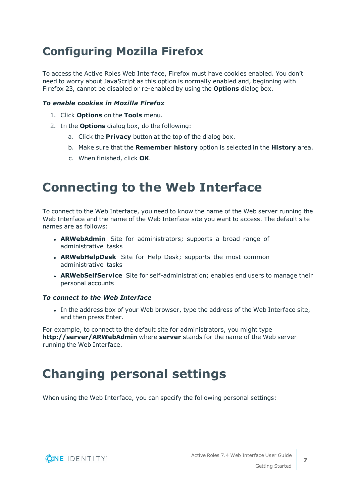## <span id="page-6-0"></span>**Configuring Mozilla Firefox**

To access the Active Roles Web Interface, Firefox must have cookies enabled. You don't need to worry about JavaScript as this option is normally enabled and, beginning with Firefox 23, cannot be disabled or re-enabled by using the **Options** dialog box.

### *To enable cookies in Mozilla Firefox*

- 1. Click **Options** on the **Tools** menu.
- 2. In the **Options** dialog box, do the following:
	- a. Click the **Privacy** button at the top of the dialog box.
	- b. Make sure that the **Remember history** option is selected in the **History** area.
	- c. When finished, click **OK**.

## <span id="page-6-1"></span>**Connecting to the Web Interface**

To connect to the Web Interface, you need to know the name of the Web server running the Web Interface and the name of the Web Interface site you want to access. The default site names are as follows:

- **ARWebAdmin** Site for administrators; supports a broad range of administrative tasks
- **. ARWebHelpDesk** Site for Help Desk; supports the most common administrative tasks
- **ARWebSelfService** Site for self-administration; enables end users to manage their personal accounts

### *To connect to the Web Interface*

• In the address box of your Web browser, type the address of the Web Interface site, and then press Enter.

For example, to connect to the default site for administrators, you might type **http://server/ARWebAdmin** where **server** stands for the name of the Web server running the Web Interface.

## <span id="page-6-2"></span>**Changing personal settings**

When using the Web Interface, you can specify the following personal settings:

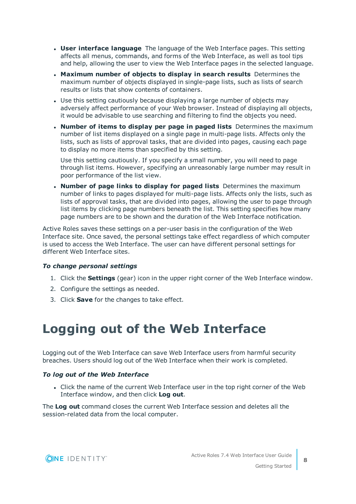- <sup>l</sup> **User interface language** The language of the Web Interface pages. This setting affects all menus, commands, and forms of the Web Interface, as well as tool tips and help, allowing the user to view the Web Interface pages in the selected language.
- <sup>l</sup> **Maximum number of objects to display in search results** Determines the maximum number of objects displayed in single-page lists, such as lists of search results or lists that show contents of containers.
- Use this setting cautiously because displaying a large number of objects may adversely affect performance of your Web browser. Instead of displaying all objects, it would be advisable to use searching and filtering to find the objects you need.
- <sup>l</sup> **Number of items to display per page in paged lists** Determines the maximum number of list items displayed on a single page in multi-page lists. Affects only the lists, such as lists of approval tasks, that are divided into pages, causing each page to display no more items than specified by this setting.

Use this setting cautiously. If you specify a small number, you will need to page through list items. However, specifying an unreasonably large number may result in poor performance of the list view.

<sup>l</sup> **Number of page links to display for paged lists** Determines the maximum number of links to pages displayed for multi-page lists. Affects only the lists, such as lists of approval tasks, that are divided into pages, allowing the user to page through list items by clicking page numbers beneath the list. This setting specifies how many page numbers are to be shown and the duration of the Web Interface notification.

Active Roles saves these settings on a per-user basis in the configuration of the Web Interface site. Once saved, the personal settings take effect regardless of which computer is used to access the Web Interface. The user can have different personal settings for different Web Interface sites.

### *To change personal settings*

- 1. Click the **Settings** (gear) icon in the upper right corner of the Web Interface window.
- 2. Configure the settings as needed.
- <span id="page-7-0"></span>3. Click **Save** for the changes to take effect.

## **Logging out of the Web Interface**

Logging out of the Web Interface can save Web Interface users from harmful security breaches. Users should log out of the Web Interface when their work is completed.

### *To log out of the Web Interface*

• Click the name of the current Web Interface user in the top right corner of the Web Interface window, and then click **Log out**.

The **Log out** command closes the current Web Interface session and deletes all the session-related data from the local computer.

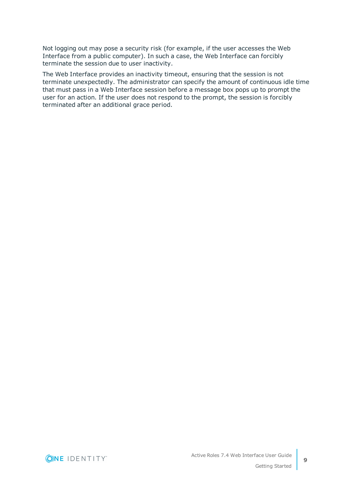Not logging out may pose a security risk (for example, if the user accesses the Web Interface from a public computer). In such a case, the Web Interface can forcibly terminate the session due to user inactivity.

The Web Interface provides an inactivity timeout, ensuring that the session is not terminate unexpectedly. The administrator can specify the amount of continuous idle time that must pass in a Web Interface session before a message box pops up to prompt the user for an action. If the user does not respond to the prompt, the session is forcibly terminated after an additional grace period.

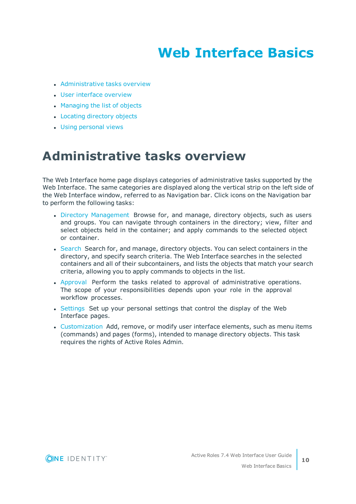# **Web Interface Basics**

- <span id="page-9-0"></span>• [Administrative](#page-9-1) tasks overview
- User interface [overview](#page-12-0)
- [Managing](#page-16-0) the list of objects
- Locating [directory](#page-17-1) objects
- <span id="page-9-1"></span>**.** Using [personal](#page-20-1) views

## **Administrative tasks overview**

The Web Interface home page displays categories of administrative tasks supported by the Web Interface. The same categories are displayed along the vertical strip on the left side of the Web Interface window, referred to as Navigation bar. Click icons on the Navigation bar to perform the following tasks:

- Directory [Management](#page-10-0) Browse for, and manage, directory objects, such as users and groups. You can navigate through containers in the directory; view, filter and select objects held in the container; and apply commands to the selected object or container.
- [Search](#page-10-1) Search for, and manage, directory objects. You can select containers in the directory, and specify search criteria. The Web Interface searches in the selected containers and all of their subcontainers, and lists the objects that match your search criteria, allowing you to apply commands to objects in the list.
- [Approval](#page-11-0) Perform the tasks related to approval of administrative operations. The scope of your responsibilities depends upon your role in the approval workflow processes.
- [Settings](#page-11-1) Set up your personal settings that control the display of the Web Interface pages.
- [Customization](#page-11-2) Add, remove, or modify user interface elements, such as menu items (commands) and pages (forms), intended to manage directory objects. This task requires the rights of Active Roles Admin.

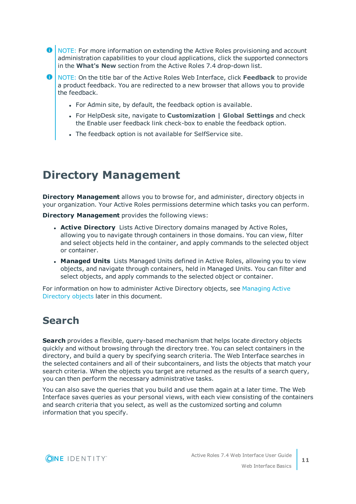- **O** NOTE: For more information on extending the Active Roles provisioning and account administration capabilities to your cloud applications, click the supported connectors in the **What's New** section from the Active Roles 7.4 drop-down list.
- NOTE: On the title bar of the Active Roles Web Interface, click **Feedback** to provide a product feedback. You are redirected to a new browser that allows you to provide the feedback.
	- For Admin site, by default, the feedback option is available.
	- <sup>l</sup> For HelpDesk site, navigate to **Customization | Global Settings** and check the Enable user feedback link check-box to enable the feedback option.
	- The feedback option is not available for SelfService site.

## <span id="page-10-0"></span>**Directory Management**

**Directory Management** allows you to browse for, and administer, directory objects in your organization. Your Active Roles permissions determine which tasks you can perform.

**Directory Management** provides the following views:

- **Active Directory** Lists Active Directory domains managed by Active Roles, allowing you to navigate through containers in those domains. You can view, filter and select objects held in the container, and apply commands to the selected object or container.
- **Managed Units** Lists Managed Units defined in Active Roles, allowing you to view objects, and navigate through containers, held in Managed Units. You can filter and select objects, and apply commands to the selected object or container.

For information on how to administer Active Directory objects, see [Managing](#page-24-0) Active [Directory](#page-24-0) objects later in this document.

### <span id="page-10-1"></span>**Search**

**Search** provides a flexible, query-based mechanism that helps locate directory objects quickly and without browsing through the directory tree. You can select containers in the directory, and build a query by specifying search criteria. The Web Interface searches in the selected containers and all of their subcontainers, and lists the objects that match your search criteria. When the objects you target are returned as the results of a search query, you can then perform the necessary administrative tasks.

You can also save the queries that you build and use them again at a later time. The Web Interface saves queries as your personal views, with each view consisting of the containers and search criteria that you select, as well as the customized sorting and column information that you specify.

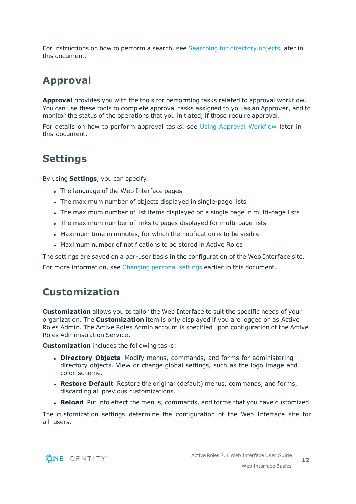For instructions on how to perform a search, see [Searching](#page-17-2) for directory objects later in this document.

## <span id="page-11-0"></span>**Approval**

**Approval** provides you with the tools for performing tasks related to approval workflow. You can use these tools to complete approval tasks assigned to you as an Approver, and to monitor the status of the operations that you initiated, if those require approval.

For details on how to perform approval tasks, see Using Approval [Workflow](#page-36-0) later in this document.

### <span id="page-11-1"></span>**Settings**

By using **Settings**, you can specify:

- The language of the Web Interface pages
- The maximum number of objects displayed in single-page lists
- The maximum number of list items displayed on a single page in multi-page lists
- The maximum number of links to pages displayed for multi-page lists
- Maximum time in minutes, for which the notification is to be visible
- Maximum number of notifications to be stored in Active Roles

The settings are saved on a per-user basis in the configuration of the Web Interface site. For more information, see [Changing](#page-6-2) personal settings earlier in this document.

### <span id="page-11-2"></span>**Customization**

**Customization** allows you to tailor the Web Interface to suit the specific needs of your organization. The **Customization** item is only displayed if you are logged on as Active Roles Admin. The Active Roles Admin account is specified upon configuration of the Active Roles Administration Service.

**Customization** includes the following tasks:

- **. Directory Objects** Modify menus, commands, and forms for administering directory objects. View or change global settings, such as the logo image and color scheme.
- <sup>l</sup> **Restore Default** Restore the original (default) menus, commands, and forms, discarding all previous customizations.
- **Reload** Put into effect the menus, commands, and forms that you have customized.

The customization settings determine the configuration of the Web Interface site for all users.

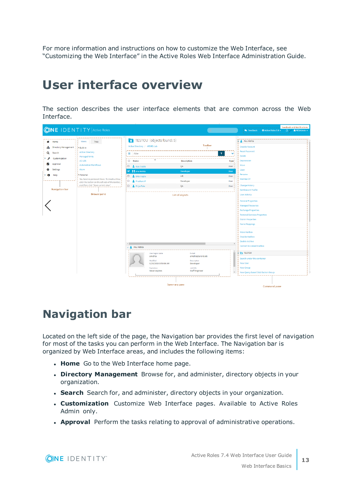For more information and instructions on how to customize the Web Interface, see "Customizing the Web Interface" in the Active Roles Web Interface Administration Guide.

## <span id="page-12-0"></span>**User interface overview**

The section describes the user interface elements that are common across the Web Interface.

|                                                                                                 | <b>ONE IDENTITY</b> Active Roles                                                                                                                                                                                                                        |                                                                                                                             |                                                                                                                                                                                                                                                                                                                                                                                                                                                                   |                      | <b>Feedback and Notifications</b><br><b>O</b> Active Roles 7.4 v<br>$\Delta V$<br>ARSAdmin -<br><b>W</b> Feedback                                                                                                                         |
|-------------------------------------------------------------------------------------------------|---------------------------------------------------------------------------------------------------------------------------------------------------------------------------------------------------------------------------------------------------------|-----------------------------------------------------------------------------------------------------------------------------|-------------------------------------------------------------------------------------------------------------------------------------------------------------------------------------------------------------------------------------------------------------------------------------------------------------------------------------------------------------------------------------------------------------------------------------------------------------------|----------------------|-------------------------------------------------------------------------------------------------------------------------------------------------------------------------------------------------------------------------------------------|
| Home<br><b>Directory Management</b><br>ж.<br>Search<br>Q                                        | <b>Views</b><br>Tree<br>Built-in<br>Active Directory                                                                                                                                                                                                    | TESTOU (objects found: 5)<br>Active Directory / ARSRD.Lab<br>$\equiv$<br><b>Filte</b>                                       | Toolbar<br>▼                                                                                                                                                                                                                                                                                                                                                                                                                                                      | $\checkmark$         | Anu Mehta<br><b>Disable Account</b><br><b>Reset Password</b><br>Delete                                                                                                                                                                    |
| Customization<br>Approval<br>ы<br><b>Settings</b><br>$\bullet$<br>Help<br><b>Navigation bar</b> | <b>Managed Units</b><br>AD LDS<br><b>Automation Workflows</b><br>Azure<br>- Personal<br>You have no personal Views. To create a View,<br>click the button on the left side of the toolbar,<br>and then click "Save current view".<br><b>Browse pane</b> | $\Box$ Name<br>i□ A Ajay Gupta<br><b>■ 日</b> Anu Mehta<br><b>D &amp;</b> Ekta Gupta<br>O.<br>Prashant P<br>O Priya Pate     | Deprovision<br><b>Description</b><br>Type<br>Move<br>QA<br>User<br>Copy<br><b>Developer</b><br>User<br>Rename<br>HR.<br>User<br>Member Of<br>Developer<br>User<br><b>Change History</b><br>QA<br>User<br><b>Entitlement Profile</b><br><b>User Activity</b><br>List of objects<br><b>General Properties</b><br><b>Managed Resources</b><br><b>Exchange Properties</b><br><b>Terminal Services Properties</b><br><b>Dial-in Properties</b><br><b>Name Mappings</b> |                      |                                                                                                                                                                                                                                           |
|                                                                                                 |                                                                                                                                                                                                                                                         | $\leftarrow$<br>↓ Anu Mehta<br>User logon name<br>amehta<br>Modified<br>9/26/2019 9:50:08 AM<br>Expiration<br>Never expires | E-mail<br>amehta@arsrd.lab<br>Description<br>Developer<br>Job title<br>Staff Engineer<br><b>Summary pane</b>                                                                                                                                                                                                                                                                                                                                                      | $\blacktriangledown$ | <b>Move Mailbox</b><br><b>Disable Mailbox</b><br>Enable Archive<br><b>Convert to Linked Mailbox</b><br><b>TESTOU</b><br>Search under this container<br><b>New User</b><br>New Group<br>New Query-based Distribution Group<br>Command pane |

### <span id="page-12-1"></span>**Navigation bar**

Located on the left side of the page, the Navigation bar provides the first level of navigation for most of the tasks you can perform in the Web Interface. The Navigation bar is organized by Web Interface areas, and includes the following items:

- **· Home** Go to the Web Interface home page.
- <sup>l</sup> **Directory Management** Browse for, and administer, directory objects in your organization.
- **. Search** Search for, and administer, directory objects in your organization.
- **. Customization** Customize Web Interface pages. Available to Active Roles Admin only.
- **Approval** Perform the tasks relating to approval of administrative operations.

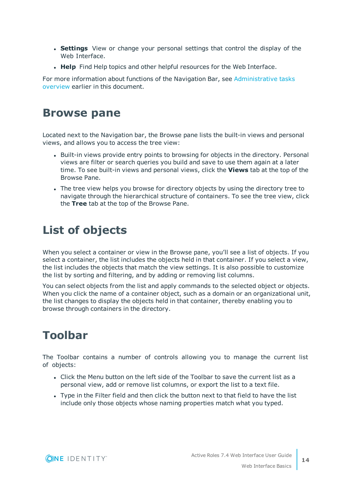- **. Settings** View or change your personal settings that control the display of the Web Interface.
- **Help** Find Help topics and other helpful resources for the Web Interface.

For more information about functions of the Navigation Bar, see [Administrative](#page-9-1) tasks [overview](#page-9-1) earlier in this document.

### <span id="page-13-0"></span>**Browse pane**

Located next to the Navigation bar, the Browse pane lists the built-in views and personal views, and allows you to access the tree view:

- Built-in views provide entry points to browsing for objects in the directory. Personal views are filter or search queries you build and save to use them again at a later time. To see built-in views and personal views, click the **Views** tab at the top of the Browse Pane.
- The tree view helps you browse for directory objects by using the directory tree to navigate through the hierarchical structure of containers. To see the tree view, click the **Tree** tab at the top of the Browse Pane.

## <span id="page-13-1"></span>**List of objects**

When you select a container or view in the Browse pane, you'll see a list of objects. If you select a container, the list includes the objects held in that container. If you select a view, the list includes the objects that match the view settings. It is also possible to customize the list by sorting and filtering, and by adding or removing list columns.

You can select objects from the list and apply commands to the selected object or objects. When you click the name of a container object, such as a domain or an organizational unit, the list changes to display the objects held in that container, thereby enabling you to browse through containers in the directory.

## <span id="page-13-2"></span>**Toolbar**

The Toolbar contains a number of controls allowing you to manage the current list of objects:

- Click the Menu button on the left side of the Toolbar to save the current list as a personal view, add or remove list columns, or export the list to a text file.
- Type in the Filter field and then click the button next to that field to have the list include only those objects whose naming properties match what you typed.

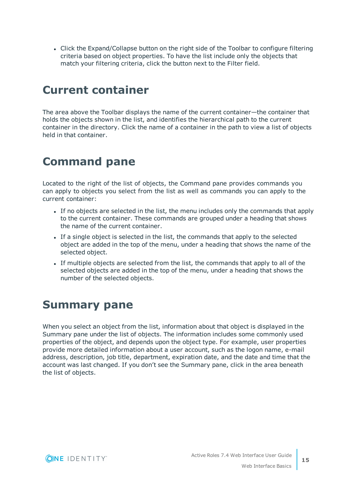• Click the Expand/Collapse button on the right side of the Toolbar to configure filtering criteria based on object properties. To have the list include only the objects that match your filtering criteria, click the button next to the Filter field.

### <span id="page-14-0"></span>**Current container**

The area above the Toolbar displays the name of the current container—the container that holds the objects shown in the list, and identifies the hierarchical path to the current container in the directory. Click the name of a container in the path to view a list of objects held in that container.

## <span id="page-14-1"></span>**Command pane**

Located to the right of the list of objects, the Command pane provides commands you can apply to objects you select from the list as well as commands you can apply to the current container:

- If no objects are selected in the list, the menu includes only the commands that apply to the current container. These commands are grouped under a heading that shows the name of the current container.
- If a single object is selected in the list, the commands that apply to the selected object are added in the top of the menu, under a heading that shows the name of the selected object.
- If multiple objects are selected from the list, the commands that apply to all of the selected objects are added in the top of the menu, under a heading that shows the number of the selected objects.

## <span id="page-14-2"></span>**Summary pane**

When you select an object from the list, information about that object is displayed in the Summary pane under the list of objects. The information includes some commonly used properties of the object, and depends upon the object type. For example, user properties provide more detailed information about a user account, such as the logon name, e-mail address, description, job title, department, expiration date, and the date and time that the account was last changed. If you don't see the Summary pane, click in the area beneath the list of objects.

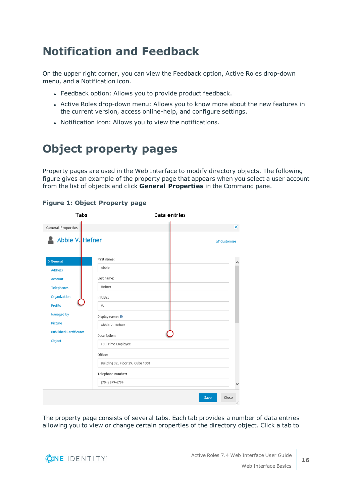## <span id="page-15-0"></span>**Notification and Feedback**

On the upper right corner, you can view the Feedback option, Active Roles drop-down menu, and a Notification icon.

- Feedback option: Allows you to provide product feedback.
- Active Roles drop-down menu: Allows you to know more about the new features in the current version, access online-help, and configure settings.
- Notification icon: Allows you to view the notifications.

## <span id="page-15-1"></span>**Object property pages**

Property pages are used in the Web Interface to modify directory objects. The following figure gives an example of the property page that appears when you select a user account from the list of objects and click **General Properties** in the Command pane.

| Tabs                          |                                  | Data entries  |
|-------------------------------|----------------------------------|---------------|
| <b>General Properties</b>     |                                  | ×             |
| Abbie V. Hefner               |                                  | C Customize   |
| > General                     | First name:                      |               |
| <b>Address</b>                | Abbie                            |               |
| <b>Account</b>                | Last name:                       |               |
| <b>Telephones</b>             | Hefner                           |               |
| <b>Organization</b>           | Initials:                        |               |
| <b>Profile</b>                | V.                               |               |
| <b>Managed by</b>             | Display name: 0                  |               |
| <b>Picture</b>                | Abbie V. Hefner                  |               |
| <b>Published Certificates</b> | Description:                     |               |
| Object                        | Full Time Employee               |               |
|                               | Office:                          |               |
|                               | Building 32, Floor 29, Cube 1068 |               |
|                               | Telephone number:                |               |
|                               | (704) 879-6799                   |               |
|                               |                                  | Close<br>Save |
|                               |                                  | /ı.           |

### **Figure 1: Object Property page**

The property page consists of several tabs. Each tab provides a number of data entries allowing you to view or change certain properties of the directory object. Click a tab to

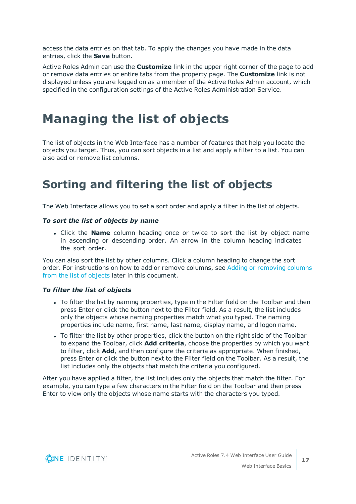access the data entries on that tab. To apply the changes you have made in the data entries, click the **Save** button.

Active Roles Admin can use the **Customize** link in the upper right corner of the page to add or remove data entries or entire tabs from the property page. The **Customize** link is not displayed unless you are logged on as a member of the Active Roles Admin account, which specified in the configuration settings of the Active Roles Administration Service.

## <span id="page-16-0"></span>**Managing the list of objects**

The list of objects in the Web Interface has a number of features that help you locate the objects you target. Thus, you can sort objects in a list and apply a filter to a list. You can also add or remove list columns.

## <span id="page-16-1"></span>**Sorting and filtering the list of objects**

The Web Interface allows you to set a sort order and apply a filter in the list of objects.

### *To sort the list of objects by name*

<sup>l</sup> Click the **Name** column heading once or twice to sort the list by object name in ascending or descending order. An arrow in the column heading indicates the sort order.

You can also sort the list by other columns. Click a column heading to change the sort order. For instructions on how to add or remove columns, see Adding or [removing](#page-17-0) columns from the list of [objects](#page-17-0) later in this document.

### *To filter the list of objects*

- To filter the list by naming properties, type in the Filter field on the Toolbar and then press Enter or click the button next to the Filter field. As a result, the list includes only the objects whose naming properties match what you typed. The naming properties include name, first name, last name, display name, and logon name.
- To filter the list by other properties, click the button on the right side of the Toolbar to expand the Toolbar, click **Add criteria**, choose the properties by which you want to filter, click **Add**, and then configure the criteria as appropriate. When finished, press Enter or click the button next to the Filter field on the Toolbar. As a result, the list includes only the objects that match the criteria you configured.

After you have applied a filter, the list includes only the objects that match the filter. For example, you can type a few characters in the Filter field on the Toolbar and then press Enter to view only the objects whose name starts with the characters you typed.

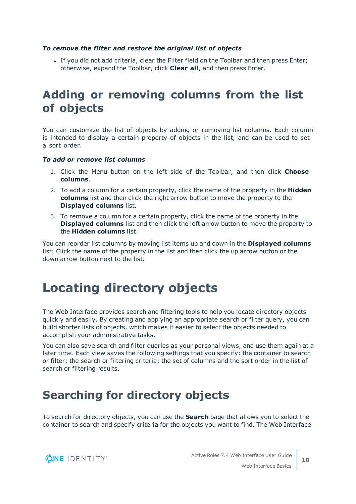### *To remove the filter and restore the original list of objects*

If you did not add criteria, clear the Filter field on the Toolbar and then press Enter; otherwise, expand the Toolbar, click **Clear all**, and then press Enter.

## <span id="page-17-0"></span>**Adding or removing columns from the list of objects**

You can customize the list of objects by adding or removing list columns. Each column is intended to display a certain property of objects in the list, and can be used to set a sort order.

### *To add or remove list columns*

- 1. Click the Menu button on the left side of the Toolbar, and then click **Choose columns**.
- 2. To add a column for a certain property, click the name of the property in the **Hidden columns** list and then click the right arrow button to move the property to the **Displayed columns** list.
- 3. To remove a column for a certain property, click the name of the property in the **Displayed columns** list and then click the left arrow button to move the property to the **Hidden columns** list.

You can reorder list columns by moving list items up and down in the **Displayed columns** list: Click the name of the property in the list and then click the up arrow button or the down arrow button next to the list.

## <span id="page-17-1"></span>**Locating directory objects**

The Web Interface provides search and filtering tools to help you locate directory objects quickly and easily. By creating and applying an appropriate search or filter query, you can build shorter lists of objects, which makes it easier to select the objects needed to accomplish your administrative tasks.

You can also save search and filter queries as your personal views, and use them again at a later time. Each view saves the following settings that you specify: the container to search or filter; the search or filtering criteria; the set of columns and the sort order in the list of search or filtering results.

## <span id="page-17-2"></span>**Searching for directory objects**

To search for directory objects, you can use the **Search** page that allows you to select the container to search and specify criteria for the objects you want to find. The Web Interface

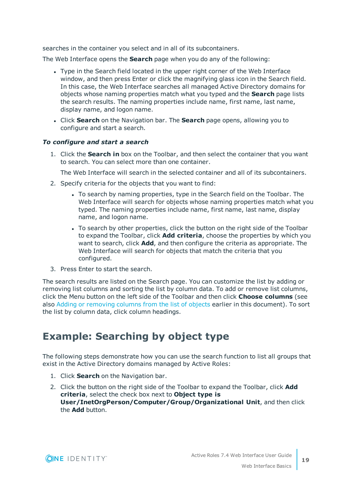searches in the container you select and in all of its subcontainers.

The Web Interface opens the **Search** page when you do any of the following:

- Type in the Search field located in the upper right corner of the Web Interface window, and then press Enter or click the magnifying glass icon in the Search field. In this case, the Web Interface searches all managed Active Directory domains for objects whose naming properties match what you typed and the **Search** page lists the search results. The naming properties include name, first name, last name, display name, and logon name.
- <sup>l</sup> Click **Search** on the Navigation bar. The **Search** page opens, allowing you to configure and start a search.

### *To configure and start a search*

1. Click the **Search in** box on the Toolbar, and then select the container that you want to search. You can select more than one container.

The Web Interface will search in the selected container and all of its subcontainers.

- 2. Specify criteria for the objects that you want to find:
	- To search by naming properties, type in the Search field on the Toolbar. The Web Interface will search for objects whose naming properties match what you typed. The naming properties include name, first name, last name, display name, and logon name.
	- To search by other properties, click the button on the right side of the Toolbar to expand the Toolbar, click **Add criteria**, choose the properties by which you want to search, click **Add**, and then configure the criteria as appropriate. The Web Interface will search for objects that match the criteria that you configured.
- 3. Press Enter to start the search.

The search results are listed on the Search page. You can customize the list by adding or removing list columns and sorting the list by column data. To add or remove list columns, click the Menu button on the left side of the Toolbar and then click **Choose columns** (see also Adding or [removing](#page-17-0) columns from the list of objects earlier in this document). To sort the list by column data, click column headings.

### <span id="page-18-0"></span>**Example: Searching by object type**

The following steps demonstrate how you can use the search function to list all groups that exist in the Active Directory domains managed by Active Roles:

- 1. Click **Search** on the Navigation bar.
- 2. Click the button on the right side of the Toolbar to expand the Toolbar, click **Add criteria**, select the check box next to **Object type is User/InetOrgPerson/Computer/Group/Organizational Unit**, and then click the **Add** button.

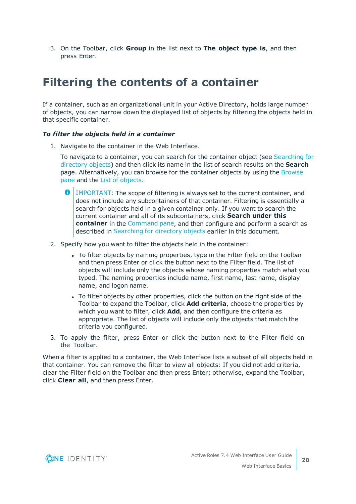3. On the Toolbar, click **Group** in the list next to **The object type is**, and then press Enter.

### <span id="page-19-0"></span>**Filtering the contents of a container**

If a container, such as an organizational unit in your Active Directory, holds large number of objects, you can narrow down the displayed list of objects by filtering the objects held in that specific container.

### *To filter the objects held in a container*

1. Navigate to the container in the Web Interface.

To navigate to a container, you can search for the container object (see [Searching](#page-17-2) for [directory](#page-17-2) objects) and then click its name in the list of search results on the **Search** page. Alternatively, you can browse for the container objects by using the [Browse](#page-13-0) [pane](#page-13-0) and the List of [objects](#page-13-1).

- 0 IMPORTANT: The scope of filtering is always set to the current container, and does not include any subcontainers of that container. Filtering is essentially a search for objects held in a given container only. If you want to search the current container and all of its subcontainers, click **Search under this container** in the [Command](#page-14-1) pane, and then configure and perform a search as described in [Searching](#page-17-2) for directory objects earlier in this document.
- 2. Specify how you want to filter the objects held in the container:
	- To filter objects by naming properties, type in the Filter field on the Toolbar and then press Enter or click the button next to the Filter field. The list of objects will include only the objects whose naming properties match what you typed. The naming properties include name, first name, last name, display name, and logon name.
	- To filter objects by other properties, click the button on the right side of the Toolbar to expand the Toolbar, click **Add criteria**, choose the properties by which you want to filter, click **Add**, and then configure the criteria as appropriate. The list of objects will include only the objects that match the criteria you configured.
- 3. To apply the filter, press Enter or click the button next to the Filter field on the Toolbar.

When a filter is applied to a container, the Web Interface lists a subset of all objects held in that container. You can remove the filter to view all objects: If you did not add criteria, clear the Filter field on the Toolbar and then press Enter; otherwise, expand the Toolbar, click **Clear all**, and then press Enter.

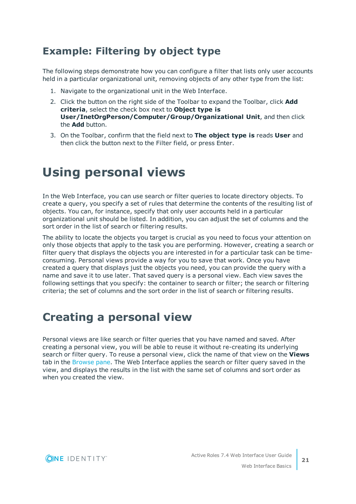### <span id="page-20-0"></span>**Example: Filtering by object type**

The following steps demonstrate how you can configure a filter that lists only user accounts held in a particular organizational unit, removing objects of any other type from the list:

- 1. Navigate to the organizational unit in the Web Interface.
- 2. Click the button on the right side of the Toolbar to expand the Toolbar, click **Add criteria**, select the check box next to **Object type is User/InetOrgPerson/Computer/Group/Organizational Unit**, and then click the **Add** button.
- 3. On the Toolbar, confirm that the field next to **The object type is** reads **User** and then click the button next to the Filter field, or press Enter.

## <span id="page-20-1"></span>**Using personal views**

In the Web Interface, you can use search or filter queries to locate directory objects. To create a query, you specify a set of rules that determine the contents of the resulting list of objects. You can, for instance, specify that only user accounts held in a particular organizational unit should be listed. In addition, you can adjust the set of columns and the sort order in the list of search or filtering results.

The ability to locate the objects you target is crucial as you need to focus your attention on only those objects that apply to the task you are performing. However, creating a search or filter query that displays the objects you are interested in for a particular task can be timeconsuming. Personal views provide a way for you to save that work. Once you have created a query that displays just the objects you need, you can provide the query with a name and save it to use later. That saved query is a personal view. Each view saves the following settings that you specify: the container to search or filter; the search or filtering criteria; the set of columns and the sort order in the list of search or filtering results.

## <span id="page-20-2"></span>**Creating a personal view**

Personal views are like search or filter queries that you have named and saved. After creating a personal view, you will be able to reuse it without re-creating its underlying search or filter query. To reuse a personal view, click the name of that view on the **Views** tab in the [Browse](#page-13-0) pane. The Web Interface applies the search or filter query saved in the view, and displays the results in the list with the same set of columns and sort order as when you created the view.

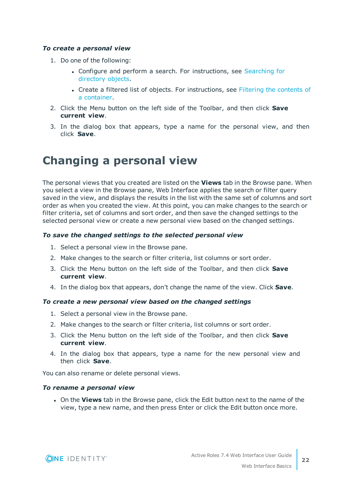### *To create a personal view*

- 1. Do one of the following:
	- Configure and perform a search. For instructions, see [Searching](#page-17-2) for [directory](#page-17-2) objects.
	- Create a filtered list of objects. For instructions, see Filtering the [contents](#page-19-0) of a [container.](#page-19-0)
- 2. Click the Menu button on the left side of the Toolbar, and then click **Save current view**.
- 3. In the dialog box that appears, type a name for the personal view, and then click **Save**.

### <span id="page-21-0"></span>**Changing a personal view**

The personal views that you created are listed on the **Views** tab in the Browse pane. When you select a view in the Browse pane, Web Interface applies the search or filter query saved in the view, and displays the results in the list with the same set of columns and sort order as when you created the view. At this point, you can make changes to the search or filter criteria, set of columns and sort order, and then save the changed settings to the selected personal view or create a new personal view based on the changed settings.

#### *To save the changed settings to the selected personal view*

- 1. Select a personal view in the Browse pane.
- 2. Make changes to the search or filter criteria, list columns or sort order.
- 3. Click the Menu button on the left side of the Toolbar, and then click **Save current view**.
- 4. In the dialog box that appears, don't change the name of the view. Click **Save**.

#### *To create a new personal view based on the changed settings*

- 1. Select a personal view in the Browse pane.
- 2. Make changes to the search or filter criteria, list columns or sort order.
- 3. Click the Menu button on the left side of the Toolbar, and then click **Save current view**.
- 4. In the dialog box that appears, type a name for the new personal view and then click **Save**.

You can also rename or delete personal views.

#### *To rename a personal view*

**.** On the **Views** tab in the Browse pane, click the Edit button next to the name of the view, type a new name, and then press Enter or click the Edit button once more.

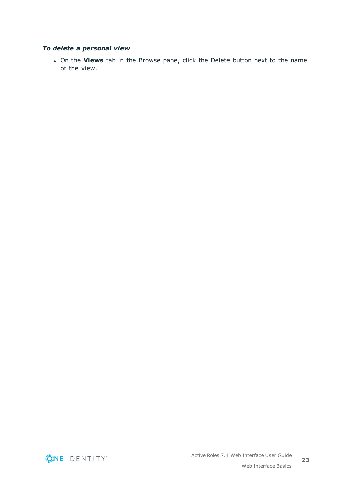### *To delete a personal view*

<sup>l</sup> On the **Views** tab in the Browse pane, click the Delete button next to the name of the view.

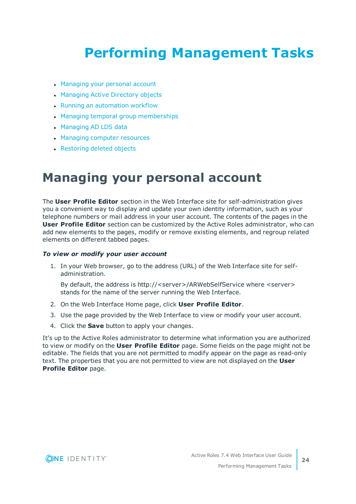# <span id="page-23-0"></span>**Performing Management Tasks**

- [Managing](#page-23-1) your personal account
- [Managing](#page-24-0) Active Directory objects
- Running an [automation](#page-26-2) workflow
- Managing temporal group [memberships](#page-28-0)
- [Managing](#page-31-0) AD LDS data
- Managing computer [resources](#page-32-0)
- <span id="page-23-1"></span>• [Restoring](#page-33-0) deleted objects

## **Managing your personal account**

The **User Profile Editor** section in the Web Interface site for self-administration gives you a convenient way to display and update your own identity information, such as your telephone numbers or mail address in your user account. The contents of the pages in the **User Profile Editor** section can be customized by the Active Roles administrator, who can add new elements to the pages, modify or remove existing elements, and regroup related elements on different tabbed pages.

### *To view or modify your user account*

1. In your Web browser, go to the address (URL) of the Web Interface site for selfadministration.

By default, the address is http://<server>/ARWebSelfService where <server> stands for the name of the server running the Web Interface.

- 2. On the Web Interface Home page, click **User Profile Editor**.
- 3. Use the page provided by the Web Interface to view or modify your user account.
- 4. Click the **Save** button to apply your changes.

It's up to the Active Roles administrator to determine what information you are authorized to view or modify on the **User Profile Editor** page. Some fields on the page might not be editable. The fields that you are not permitted to modify appear on the page as read-only text. The properties that you are not permitted to view are not displayed on the **User Profile Editor** page.

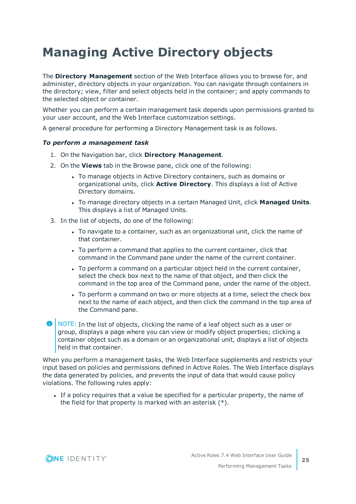## <span id="page-24-0"></span>**Managing Active Directory objects**

The **Directory Management** section of the Web Interface allows you to browse for, and administer, directory objects in your organization. You can navigate through containers in the directory; view, filter and select objects held in the container; and apply commands to the selected object or container.

Whether you can perform a certain management task depends upon permissions granted to your user account, and the Web Interface customization settings.

A general procedure for performing a Directory Management task is as follows.

### *To perform a management task*

- 1. On the Navigation bar, click **Directory Management**.
- 2. On the **Views** tab in the Browse pane, click one of the following:
	- To manage objects in Active Directory containers, such as domains or organizational units, click **Active Directory**. This displays a list of Active Directory domains.
	- <sup>l</sup> To manage directory objects in a certain Managed Unit, click **Managed Units**. This displays a list of Managed Units.
- 3. In the list of objects, do one of the following:
	- To navigate to a container, such as an organizational unit, click the name of that container.
	- To perform a command that applies to the current container, click that command in the Command pane under the name of the current container.
	- To perform a command on a particular object held in the current container, select the check box next to the name of that object, and then click the command in the top area of the Command pane, under the name of the object.
	- To perform a command on two or more objects at a time, select the check box next to the name of each object, and then click the command in the top area of the Command pane.
- **O** NOTE: In the list of objects, clicking the name of a leaf object such as a user or group, displays a page where you can view or modify object properties; clicking a container object such as a domain or an organizational unit, displays a list of objects held in that container.

When you perform a management tasks, the Web Interface supplements and restricts your input based on policies and permissions defined in Active Roles. The Web Interface displays the data generated by policies, and prevents the input of data that would cause policy violations. The following rules apply:

If a policy requires that a value be specified for a particular property, the name of the field for that property is marked with an asterisk (\*).

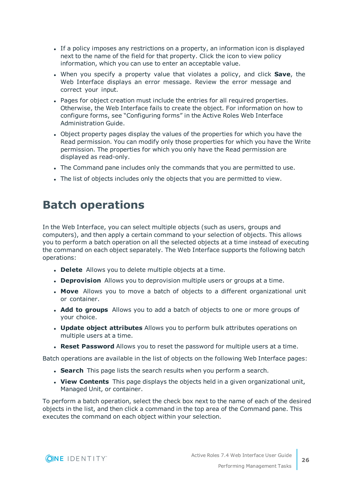- If a policy imposes any restrictions on a property, an information icon is displayed next to the name of the field for that property. Click the icon to view policy information, which you can use to enter an acceptable value.
- <sup>l</sup> When you specify a property value that violates a policy, and click **Save**, the Web Interface displays an error message. Review the error message and correct your input.
- Pages for object creation must include the entries for all required properties. Otherwise, the Web Interface fails to create the object. For information on how to configure forms, see "Configuring forms" in the Active Roles Web Interface Administration Guide.
- Object property pages display the values of the properties for which you have the Read permission. You can modify only those properties for which you have the Write permission. The properties for which you only have the Read permission are displayed as read-only.
- The Command pane includes only the commands that you are permitted to use.
- The list of objects includes only the objects that you are permitted to view.

### <span id="page-25-0"></span>**Batch operations**

In the Web Interface, you can select multiple objects (such as users, groups and computers), and then apply a certain command to your selection of objects. This allows you to perform a batch operation on all the selected objects at a time instead of executing the command on each object separately. The Web Interface supports the following batch operations:

- **.** Delete Allows you to delete multiple objects at a time.
- **. Deprovision** Allows you to deprovision multiple users or groups at a time.
- **Move** Allows you to move a batch of objects to a different organizational unit or container.
- **Add to groups** Allows you to add a batch of objects to one or more groups of your choice.
- <sup>l</sup> **Update object attributes** Allows you to perform bulk attributes operations on multiple users at a time.
- <sup>l</sup> **Reset Password** Allows you to reset the password for multiple users at a time.

Batch operations are available in the list of objects on the following Web Interface pages:

- **Search** This page lists the search results when you perform a search.
- **View Contents** This page displays the objects held in a given organizational unit, Managed Unit, or container.

To perform a batch operation, select the check box next to the name of each of the desired objects in the list, and then click a command in the top area of the Command pane. This executes the command on each object within your selection.

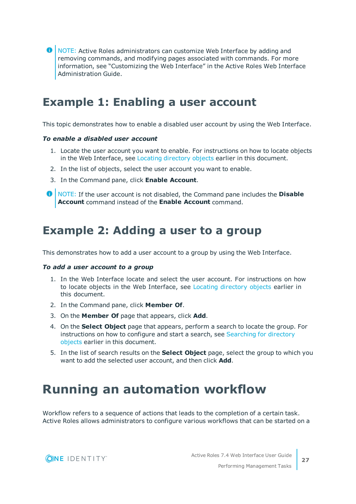**O** NOTE: Active Roles administrators can customize Web Interface by adding and removing commands, and modifying pages associated with commands. For more information, see "Customizing the Web Interface" in the Active Roles Web Interface Administration Guide.

### <span id="page-26-0"></span>**Example 1: Enabling a user account**

This topic demonstrates how to enable a disabled user account by using the Web Interface.

#### *To enable a disabled user account*

- 1. Locate the user account you want to enable. For instructions on how to locate objects in the Web Interface, see Locating [directory](#page-17-1) objects earlier in this document.
- 2. In the list of objects, select the user account you want to enable.
- 3. In the Command pane, click **Enable Account**.
- **O** NOTE: If the user account is not disabled, the Command pane includes the **Disable Account** command instead of the **Enable Account** command.

### <span id="page-26-1"></span>**Example 2: Adding a user to a group**

This demonstrates how to add a user account to a group by using the Web Interface.

#### *To add a user account to a group*

- 1. In the Web Interface locate and select the user account. For instructions on how to locate objects in the Web Interface, see Locating [directory](#page-17-1) objects earlier in this document.
- 2. In the Command pane, click **Member Of**.
- 3. On the **Member Of** page that appears, click **Add**.
- 4. On the **Select Object** page that appears, perform a search to locate the group. For instructions on how to configure and start a search, see [Searching](#page-17-2) for directory [objects](#page-17-2) earlier in this document.
- 5. In the list of search results on the **Select Object** page, select the group to which you want to add the selected user account, and then click **Add**.

## <span id="page-26-2"></span>**Running an automation workflow**

Workflow refers to a sequence of actions that leads to the completion of a certain task. Active Roles allows administrators to configure various workflows that can be started on a

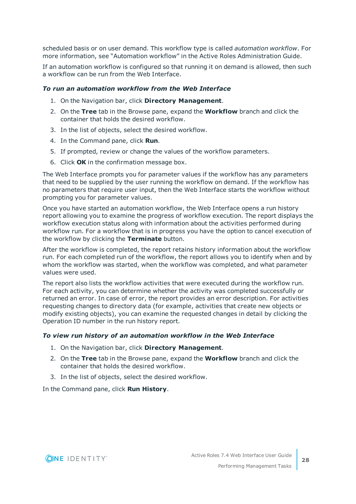scheduled basis or on user demand. This workflow type is called *automation workflow*. For more information, see "Automation workflow" in the Active Roles Administration Guide.

If an automation workflow is configured so that running it on demand is allowed, then such a workflow can be run from the Web Interface.

### *To run an automation workflow from the Web Interface*

- 1. On the Navigation bar, click **Directory Management**.
- 2. On the **Tree** tab in the Browse pane, expand the **Workflow** branch and click the container that holds the desired workflow.
- 3. In the list of objects, select the desired workflow.
- 4. In the Command pane, click **Run**.
- 5. If prompted, review or change the values of the workflow parameters.
- 6. Click **OK** in the confirmation message box.

The Web Interface prompts you for parameter values if the workflow has any parameters that need to be supplied by the user running the workflow on demand. If the workflow has no parameters that require user input, then the Web Interface starts the workflow without prompting you for parameter values.

Once you have started an automation workflow, the Web Interface opens a run history report allowing you to examine the progress of workflow execution. The report displays the workflow execution status along with information about the activities performed during workflow run. For a workflow that is in progress you have the option to cancel execution of the workflow by clicking the **Terminate** button.

After the workflow is completed, the report retains history information about the workflow run. For each completed run of the workflow, the report allows you to identify when and by whom the workflow was started, when the workflow was completed, and what parameter values were used.

The report also lists the workflow activities that were executed during the workflow run. For each activity, you can determine whether the activity was completed successfully or returned an error. In case of error, the report provides an error description. For activities requesting changes to directory data (for example, activities that create new objects or modify existing objects), you can examine the requested changes in detail by clicking the Operation ID number in the run history report.

### *To view run history of an automation workflow in the Web Interface*

- 1. On the Navigation bar, click **Directory Management**.
- 2. On the **Tree** tab in the Browse pane, expand the **Workflow** branch and click the container that holds the desired workflow.
- 3. In the list of objects, select the desired workflow.

In the Command pane, click **Run History**.

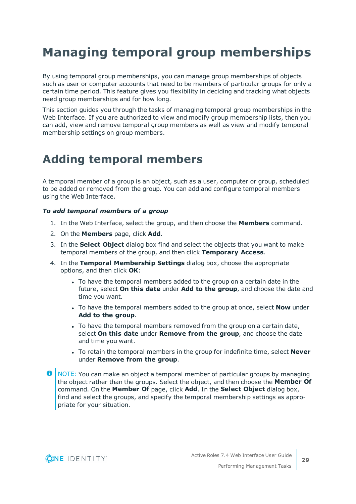## <span id="page-28-0"></span>**Managing temporal group memberships**

By using temporal group memberships, you can manage group memberships of objects such as user or computer accounts that need to be members of particular groups for only a certain time period. This feature gives you flexibility in deciding and tracking what objects need group memberships and for how long.

This section guides you through the tasks of managing temporal group memberships in the Web Interface. If you are authorized to view and modify group membership lists, then you can add, view and remove temporal group members as well as view and modify temporal membership settings on group members.

### <span id="page-28-1"></span>**Adding temporal members**

A temporal member of a group is an object, such as a user, computer or group, scheduled to be added or removed from the group. You can add and configure temporal members using the Web Interface.

### *To add temporal members of a group*

- 1. In the Web Interface, select the group, and then choose the **Members** command.
- 2. On the **Members** page, click **Add**.
- 3. In the **Select Object** dialog box find and select the objects that you want to make temporal members of the group, and then click **Temporary Access**.
- 4. In the **Temporal Membership Settings** dialog box, choose the appropriate options, and then click **OK**:
	- To have the temporal members added to the group on a certain date in the future, select **On this date** under **Add to the group**, and choose the date and time you want.
	- To have the temporal members added to the group at once, select **Now** under **Add to the group**.
	- To have the temporal members removed from the group on a certain date, select **On this date** under **Remove from the group**, and choose the date and time you want.
	- <sup>l</sup> To retain the temporal members in the group for indefinite time, select **Never** under **Remove from the group**.

œ NOTE: You can make an object a temporal member of particular groups by managing the object rather than the groups. Select the object, and then choose the **Member Of** command. On the **Member Of** page, click **Add**. In the **Select Object** dialog box, find and select the groups, and specify the temporal membership settings as appropriate for your situation.

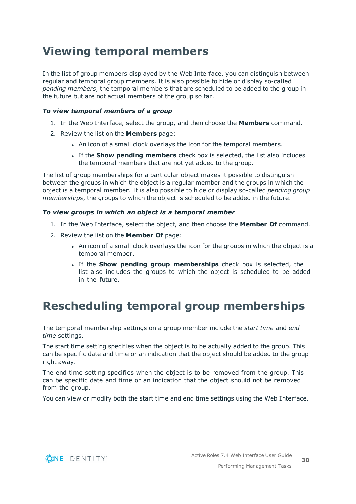## <span id="page-29-0"></span>**Viewing temporal members**

In the list of group members displayed by the Web Interface, you can distinguish between regular and temporal group members. It is also possible to hide or display so-called *pending members*, the temporal members that are scheduled to be added to the group in the future but are not actual members of the group so far.

### *To view temporal members of a group*

- 1. In the Web Interface, select the group, and then choose the **Members** command.
- 2. Review the list on the **Members** page:
	- . An icon of a small clock overlays the icon for the temporal members.
	- <sup>l</sup> If the **Show pending members** check box is selected, the list also includes the temporal members that are not yet added to the group.

The list of group memberships for a particular object makes it possible to distinguish between the groups in which the object is a regular member and the groups in which the object is a temporal member. It is also possible to hide or display so-called *pending group memberships*, the groups to which the object is scheduled to be added in the future.

### *To view groups in which an object is a temporal member*

- 1. In the Web Interface, select the object, and then choose the **Member Of** command.
- 2. Review the list on the **Member Of** page:
	- An icon of a small clock overlays the icon for the groups in which the object is a temporal member.
	- <sup>l</sup> If the **Show pending group memberships** check box is selected, the list also includes the groups to which the object is scheduled to be added in the future.

## <span id="page-29-1"></span>**Rescheduling temporal group memberships**

The temporal membership settings on a group member include the *start time* and *end time* settings.

The start time setting specifies when the object is to be actually added to the group. This can be specific date and time or an indication that the object should be added to the group right away.

The end time setting specifies when the object is to be removed from the group. This can be specific date and time or an indication that the object should not be removed from the group.

You can view or modify both the start time and end time settings using the Web Interface.

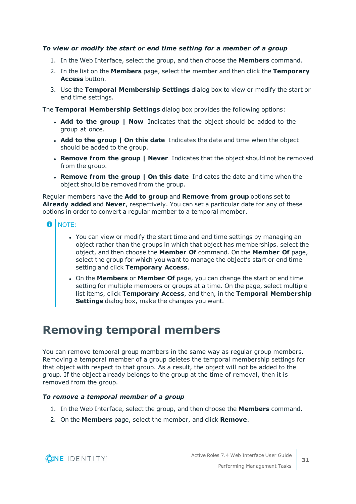### *To view or modify the start or end time setting for a member of a group*

- 1. In the Web Interface, select the group, and then choose the **Members** command.
- 2. In the list on the **Members** page, select the member and then click the **Temporary Access** button.
- 3. Use the **Temporal Membership Settings** dialog box to view or modify the start or end time settings.

The **Temporal Membership Settings** dialog box provides the following options:

- <sup>l</sup> **Add to the group | Now** Indicates that the object should be added to the group at once.
- <sup>l</sup> **Add to the group | On this date** Indicates the date and time when the object should be added to the group.
- <sup>l</sup> **Remove from the group | Never** Indicates that the object should not be removed from the group.
- <sup>l</sup> **Remove from the group | On this date** Indicates the date and time when the object should be removed from the group.

Regular members have the **Add to group** and **Remove from group** options set to **Already added** and **Never**, respectively. You can set a particular date for any of these options in order to convert a regular member to a temporal member.

- **O** | NOTE:
	- You can view or modify the start time and end time settings by managing an object rather than the groups in which that object has memberships. select the object, and then choose the **Member Of** command. On the **Member Of** page, select the group for which you want to manage the object's start or end time setting and click **Temporary Access**.
	- <sup>l</sup> On the **Members** or **Member Of** page, you can change the start or end time setting for multiple members or groups at a time. On the page, select multiple list items, click **Temporary Access**, and then, in the **Temporal Membership Settings** dialog box, make the changes you want.

### <span id="page-30-0"></span>**Removing temporal members**

You can remove temporal group members in the same way as regular group members. Removing a temporal member of a group deletes the temporal membership settings for that object with respect to that group. As a result, the object will not be added to the group. If the object already belongs to the group at the time of removal, then it is removed from the group.

### *To remove a temporal member of a group*

- 1. In the Web Interface, select the group, and then choose the **Members** command.
- 2. On the **Members** page, select the member, and click **Remove**.

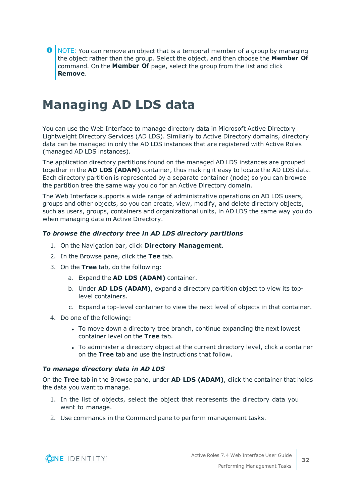**O** NOTE: You can remove an object that is a temporal member of a group by managing the object rather than the group. Select the object, and then choose the **Member Of** command. On the **Member Of** page, select the group from the list and click **Remove**.

## <span id="page-31-0"></span>**Managing AD LDS data**

You can use the Web Interface to manage directory data in Microsoft Active Directory Lightweight Directory Services (AD LDS). Similarly to Active Directory domains, directory data can be managed in only the AD LDS instances that are registered with Active Roles (managed AD LDS instances).

The application directory partitions found on the managed AD LDS instances are grouped together in the **AD LDS (ADAM)** container, thus making it easy to locate the AD LDS data. Each directory partition is represented by a separate container (node) so you can browse the partition tree the same way you do for an Active Directory domain.

The Web Interface supports a wide range of administrative operations on AD LDS users, groups and other objects, so you can create, view, modify, and delete directory objects, such as users, groups, containers and organizational units, in AD LDS the same way you do when managing data in Active Directory.

### *To browse the directory tree in AD LDS directory partitions*

- 1. On the Navigation bar, click **Directory Management**.
- 2. In the Browse pane, click the **Tee** tab.
- 3. On the **Tree** tab, do the following:
	- a. Expand the **AD LDS (ADAM)** container.
	- b. Under **AD LDS (ADAM)**, expand a directory partition object to view its toplevel containers.
	- c. Expand a top-level container to view the next level of objects in that container.
- 4. Do one of the following:
	- To move down a directory tree branch, continue expanding the next lowest container level on the **Tree** tab.
	- To administer a directory object at the current directory level, click a container on the **Tree** tab and use the instructions that follow.

### *To manage directory data in AD LDS*

On the **Tree** tab in the Browse pane, under **AD LDS (ADAM)**, click the container that holds the data you want to manage.

- 1. In the list of objects, select the object that represents the directory data you want to manage.
- 2. Use commands in the Command pane to perform management tasks.

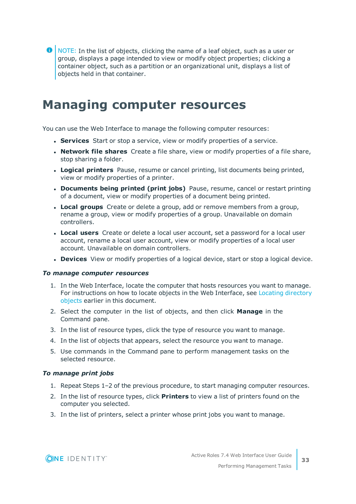NOTE: In the list of objects, clicking the name of a leaf object, such as a user or group, displays a page intended to view or modify object properties; clicking a container object, such as a partition or an organizational unit, displays a list of objects held in that container.

## <span id="page-32-0"></span>**Managing computer resources**

You can use the Web Interface to manage the following computer resources:

- **Services** Start or stop a service, view or modify properties of a service.
- <sup>l</sup> **Network file shares** Create a file share, view or modify properties of a file share, stop sharing a folder.
- **Logical printers** Pause, resume or cancel printing, list documents being printed, view or modify properties of a printer.
- <sup>l</sup> **Documents being printed (print jobs)** Pause, resume, cancel or restart printing of a document, view or modify properties of a document being printed.
- **Local groups** Create or delete a group, add or remove members from a group, rename a group, view or modify properties of a group. Unavailable on domain controllers.
- **Local users** Create or delete a local user account, set a password for a local user account, rename a local user account, view or modify properties of a local user account. Unavailable on domain controllers.
- **.** Devices View or modify properties of a logical device, start or stop a logical device.

#### *To manage computer resources*

- 1. In the Web Interface, locate the computer that hosts resources you want to manage. For instructions on how to locate objects in the Web Interface, see Locating [directory](#page-17-1) [objects](#page-17-1) earlier in this document.
- 2. Select the computer in the list of objects, and then click **Manage** in the Command pane.
- 3. In the list of resource types, click the type of resource you want to manage.
- 4. In the list of objects that appears, select the resource you want to manage.
- 5. Use commands in the Command pane to perform management tasks on the selected resource.

### *To manage print jobs*

- 1. Repeat Steps 1–2 of the previous procedure, to start managing computer resources.
- 2. In the list of resource types, click **Printers** to view a list of printers found on the computer you selected.
- 3. In the list of printers, select a printer whose print jobs you want to manage.

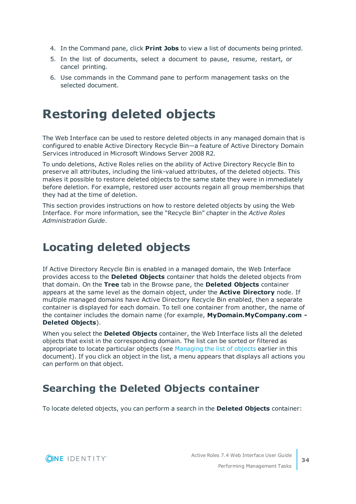- 4. In the Command pane, click **Print Jobs** to view a list of documents being printed.
- 5. In the list of documents, select a document to pause, resume, restart, or cancel printing.
- 6. Use commands in the Command pane to perform management tasks on the selected document.

## <span id="page-33-0"></span>**Restoring deleted objects**

The Web Interface can be used to restore deleted objects in any managed domain that is configured to enable Active Directory Recycle Bin—a feature of Active Directory Domain Services introduced in Microsoft Windows Server 2008 R2.

To undo deletions, Active Roles relies on the ability of Active Directory Recycle Bin to preserve all attributes, including the link-valued attributes, of the deleted objects. This makes it possible to restore deleted objects to the same state they were in immediately before deletion. For example, restored user accounts regain all group memberships that they had at the time of deletion.

This section provides instructions on how to restore deleted objects by using the Web Interface. For more information, see the "Recycle Bin" chapter in the *Active Roles Administration Guide*.

## <span id="page-33-1"></span>**Locating deleted objects**

If Active Directory Recycle Bin is enabled in a managed domain, the Web Interface provides access to the **Deleted Objects** container that holds the deleted objects from that domain. On the **Tree** tab in the Browse pane, the **Deleted Objects** container appears at the same level as the domain object, under the **Active Directory** node. If multiple managed domains have Active Directory Recycle Bin enabled, then a separate container is displayed for each domain. To tell one container from another, the name of the container includes the domain name (for example, **MyDomain.MyCompany.com - Deleted Objects**).

When you select the **Deleted Objects** container, the Web Interface lists all the deleted objects that exist in the corresponding domain. The list can be sorted or filtered as appropriate to locate particular objects (see [Managing](#page-16-0) the list of objects earlier in this document). If you click an object in the list, a menu appears that displays all actions you can perform on that object.

### <span id="page-33-2"></span>**Searching the Deleted Objects container**

To locate deleted objects, you can perform a search in the **Deleted Objects** container:

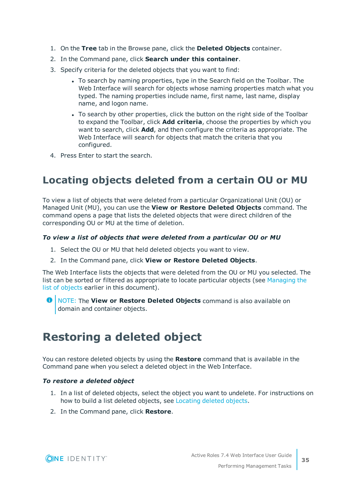- 1. On the **Tree** tab in the Browse pane, click the **Deleted Objects** container.
- 2. In the Command pane, click **Search under this container**.
- 3. Specify criteria for the deleted objects that you want to find:
	- To search by naming properties, type in the Search field on the Toolbar. The Web Interface will search for objects whose naming properties match what you typed. The naming properties include name, first name, last name, display name, and logon name.
	- To search by other properties, click the button on the right side of the Toolbar to expand the Toolbar, click **Add criteria**, choose the properties by which you want to search, click **Add**, and then configure the criteria as appropriate. The Web Interface will search for objects that match the criteria that you configured.
- <span id="page-34-0"></span>4. Press Enter to start the search.

### **Locating objects deleted from a certain OU or MU**

To view a list of objects that were deleted from a particular Organizational Unit (OU) or Managed Unit (MU), you can use the **View or Restore Deleted Objects** command. The command opens a page that lists the deleted objects that were direct children of the corresponding OU or MU at the time of deletion.

### *To view a list of objects that were deleted from a particular OU or MU*

- 1. Select the OU or MU that held deleted objects you want to view.
- 2. In the Command pane, click **View or Restore Deleted Objects**.

The Web Interface lists the objects that were deleted from the OU or MU you selected. The list can be sorted or filtered as appropriate to locate particular objects (see [Managing](#page-16-0) the list of [objects](#page-16-0) earlier in this document).

NOTE: The **View or Restore Deleted Objects** command is also available on Œ domain and container objects.

## <span id="page-34-1"></span>**Restoring a deleted object**

You can restore deleted objects by using the **Restore** command that is available in the Command pane when you select a deleted object in the Web Interface.

### *To restore a deleted object*

- 1. In a list of deleted objects, select the object you want to undelete. For instructions on how to build a list deleted objects, see [Locating](#page-33-1) deleted objects.
- 2. In the Command pane, click **Restore**.

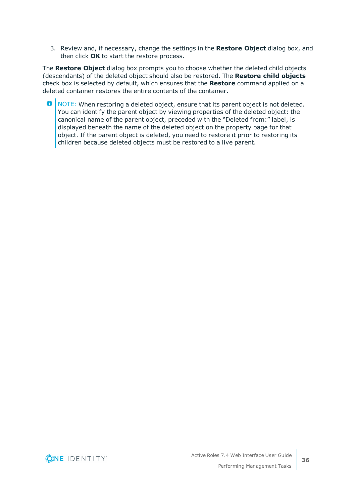3. Review and, if necessary, change the settings in the **Restore Object** dialog box, and then click **OK** to start the restore process.

The **Restore Object** dialog box prompts you to choose whether the deleted child objects (descendants) of the deleted object should also be restored. The **Restore child objects** check box is selected by default, which ensures that the **Restore** command applied on a deleted container restores the entire contents of the container.

**O** NOTE: When restoring a deleted object, ensure that its parent object is not deleted. You can identify the parent object by viewing properties of the deleted object: the canonical name of the parent object, preceded with the "Deleted from:" label, is displayed beneath the name of the deleted object on the property page for that object. If the parent object is deleted, you need to restore it prior to restoring its children because deleted objects must be restored to a live parent.

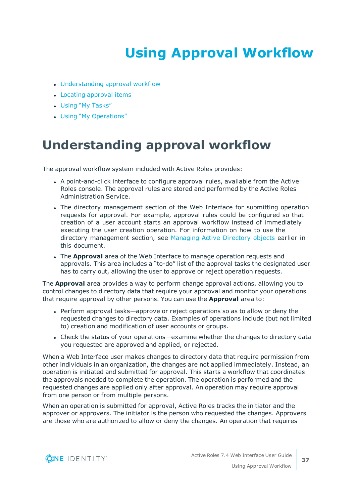# **Using Approval Workflow**

- <span id="page-36-0"></span>• [Understanding](#page-36-1) approval workflow
- Locating [approval](#page-37-0) items
- Using "My [Tasks"](#page-38-0)
- <span id="page-36-1"></span>• Using "My [Operations"](#page-41-0)

## **Understanding approval workflow**

The approval workflow system included with Active Roles provides:

- <sup>l</sup> A point-and-click interface to configure approval rules, available from the Active Roles console. The approval rules are stored and performed by the Active Roles Administration Service.
- The directory management section of the Web Interface for submitting operation requests for approval. For example, approval rules could be configured so that creation of a user account starts an approval workflow instead of immediately executing the user creation operation. For information on how to use the directory management section, see [Managing](#page-24-0) Active Directory objects earlier in this document.
- **.** The **Approval** area of the Web Interface to manage operation requests and approvals. This area includes a "to-do" list of the approval tasks the designated user has to carry out, allowing the user to approve or reject operation requests.

The **Approval** area provides a way to perform change approval actions, allowing you to control changes to directory data that require your approval and monitor your operations that require approval by other persons. You can use the **Approval** area to:

- Perform approval tasks—approve or reject operations so as to allow or deny the requested changes to directory data. Examples of operations include (but not limited to) creation and modification of user accounts or groups.
- Check the status of your operations—examine whether the changes to directory data you requested are approved and applied, or rejected.

When a Web Interface user makes changes to directory data that require permission from other individuals in an organization, the changes are not applied immediately. Instead, an operation is initiated and submitted for approval. This starts a workflow that coordinates the approvals needed to complete the operation. The operation is performed and the requested changes are applied only after approval. An operation may require approval from one person or from multiple persons.

When an operation is submitted for approval, Active Roles tracks the initiator and the approver or approvers. The initiator is the person who requested the changes. Approvers are those who are authorized to allow or deny the changes. An operation that requires

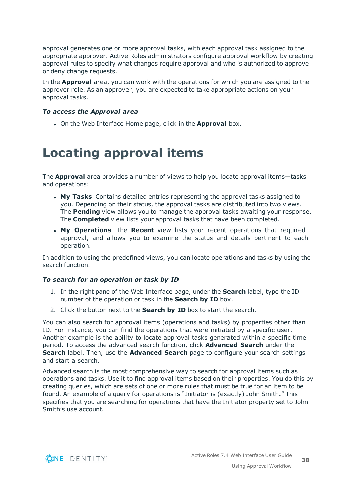approval generates one or more approval tasks, with each approval task assigned to the appropriate approver. Active Roles administrators configure approval workflow by creating approval rules to specify what changes require approval and who is authorized to approve or deny change requests.

In the **Approval** area, you can work with the operations for which you are assigned to the approver role. As an approver, you are expected to take appropriate actions on your approval tasks.

### *To access the Approval area*

<span id="page-37-0"></span>**.** On the Web Interface Home page, click in the **Approval** box.

## **Locating approval items**

The **Approval** area provides a number of views to help you locate approval items—tasks and operations:

- <sup>l</sup> **My Tasks** Contains detailed entries representing the approval tasks assigned to you. Depending on their status, the approval tasks are distributed into two views. The **Pending** view allows you to manage the approval tasks awaiting your response. The **Completed** view lists your approval tasks that have been completed.
- **. My Operations** The Recent view lists your recent operations that required approval, and allows you to examine the status and details pertinent to each operation.

In addition to using the predefined views, you can locate operations and tasks by using the search function.

### *To search for an operation or task by ID*

- 1. In the right pane of the Web Interface page, under the **Search** label, type the ID number of the operation or task in the **Search by ID** box.
- 2. Click the button next to the **Search by ID** box to start the search.

You can also search for approval items (operations and tasks) by properties other than ID. For instance, you can find the operations that were initiated by a specific user. Another example is the ability to locate approval tasks generated within a specific time period. To access the advanced search function, click **Advanced Search** under the **Search** label. Then, use the **Advanced Search** page to configure your search settings and start a search.

Advanced search is the most comprehensive way to search for approval items such as operations and tasks. Use it to find approval items based on their properties. You do this by creating queries, which are sets of one or more rules that must be true for an item to be found. An example of a query for operations is "Initiator is (exactly) John Smith." This specifies that you are searching for operations that have the Initiator property set to John Smith's use account.

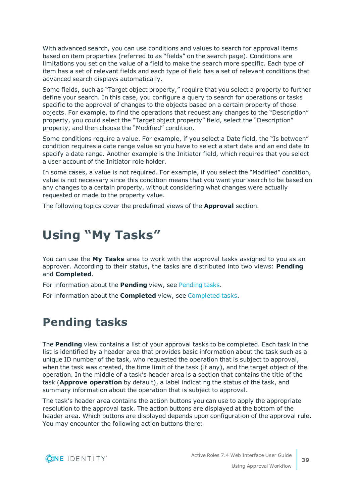With advanced search, you can use conditions and values to search for approval items based on item properties (referred to as "fields" on the search page). Conditions are limitations you set on the value of a field to make the search more specific. Each type of item has a set of relevant fields and each type of field has a set of relevant conditions that advanced search displays automatically.

Some fields, such as "Target object property," require that you select a property to further define your search. In this case, you configure a query to search for operations or tasks specific to the approval of changes to the objects based on a certain property of those objects. For example, to find the operations that request any changes to the "Description" property, you could select the "Target object property" field, select the "Description" property, and then choose the "Modified" condition.

Some conditions require a value. For example, if you select a Date field, the "Is between" condition requires a date range value so you have to select a start date and an end date to specify a date range. Another example is the Initiator field, which requires that you select a user account of the Initiator role holder.

In some cases, a value is not required. For example, if you select the "Modified" condition, value is not necessary since this condition means that you want your search to be based on any changes to a certain property, without considering what changes were actually requested or made to the property value.

<span id="page-38-0"></span>The following topics cover the predefined views of the **Approval** section.

## **Using "My Tasks"**

You can use the **My Tasks** area to work with the approval tasks assigned to you as an approver. According to their status, the tasks are distributed into two views: **Pending** and **Completed**.

For information about the **Pending** view, see [Pending](#page-38-1) tasks.

<span id="page-38-1"></span>For information about the **Completed** view, see [Completed](#page-40-0) tasks.

### **Pending tasks**

The **Pending** view contains a list of your approval tasks to be completed. Each task in the list is identified by a header area that provides basic information about the task such as a unique ID number of the task, who requested the operation that is subject to approval, when the task was created, the time limit of the task (if any), and the target object of the operation. In the middle of a task's header area is a section that contains the title of the task (**Approve operation** by default), a label indicating the status of the task, and summary information about the operation that is subject to approval.

The task's header area contains the action buttons you can use to apply the appropriate resolution to the approval task. The action buttons are displayed at the bottom of the header area. Which buttons are displayed depends upon configuration of the approval rule. You may encounter the following action buttons there:

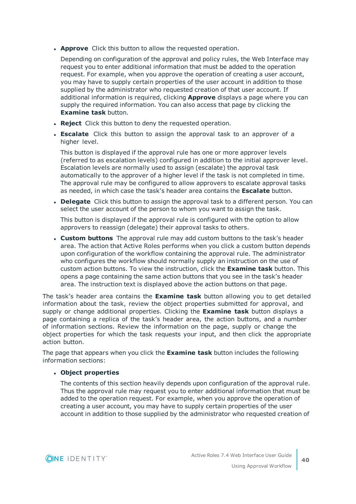**Approve** Click this button to allow the requested operation.

Depending on configuration of the approval and policy rules, the Web Interface may request you to enter additional information that must be added to the operation request. For example, when you approve the operation of creating a user account, you may have to supply certain properties of the user account in addition to those supplied by the administrator who requested creation of that user account. If additional information is required, clicking **Approve** displays a page where you can supply the required information. You can also access that page by clicking the **Examine task** button.

- **Reject** Click this button to deny the requested operation.
- **Escalate** Click this button to assign the approval task to an approver of a higher level.

This button is displayed if the approval rule has one or more approver levels (referred to as escalation levels) configured in addition to the initial approver level. Escalation levels are normally used to assign (escalate) the approval task automatically to the approver of a higher level if the task is not completed in time. The approval rule may be configured to allow approvers to escalate approval tasks as needed, in which case the task's header area contains the **Escalate** button.

**Delegate** Click this button to assign the approval task to a different person. You can select the user account of the person to whom you want to assign the task.

This button is displayed if the approval rule is configured with the option to allow approvers to reassign (delegate) their approval tasks to others.

<sup>l</sup> **Custom buttons** The approval rule may add custom buttons to the task's header area. The action that Active Roles performs when you click a custom button depends upon configuration of the workflow containing the approval rule. The administrator who configures the workflow should normally supply an instruction on the use of custom action buttons. To view the instruction, click the **Examine task** button. This opens a page containing the same action buttons that you see in the task's header area. The instruction text is displayed above the action buttons on that page.

The task's header area contains the **Examine task** button allowing you to get detailed information about the task, review the object properties submitted for approval, and supply or change additional properties. Clicking the **Examine task** button displays a page containing a replica of the task's header area, the action buttons, and a number of information sections. Review the information on the page, supply or change the object properties for which the task requests your input, and then click the appropriate action button.

The page that appears when you click the **Examine task** button includes the following information sections:

### <sup>l</sup> **Object properties**

The contents of this section heavily depends upon configuration of the approval rule. Thus the approval rule may request you to enter additional information that must be added to the operation request. For example, when you approve the operation of creating a user account, you may have to supply certain properties of the user account in addition to those supplied by the administrator who requested creation of

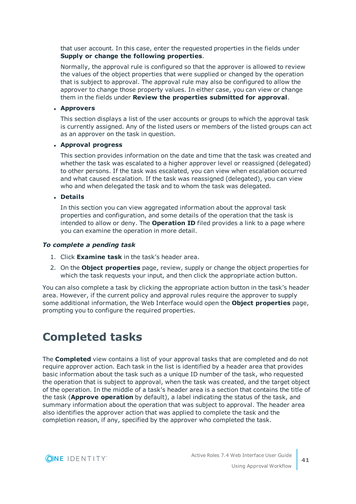that user account. In this case, enter the requested properties in the fields under **Supply or change the following properties**.

Normally, the approval rule is configured so that the approver is allowed to review the values of the object properties that were supplied or changed by the operation that is subject to approval. The approval rule may also be configured to allow the approver to change those property values. In either case, you can view or change them in the fields under **Review the properties submitted for approval**.

#### <sup>l</sup> **Approvers**

This section displays a list of the user accounts or groups to which the approval task is currently assigned. Any of the listed users or members of the listed groups can act as an approver on the task in question.

#### <sup>l</sup> **Approval progress**

This section provides information on the date and time that the task was created and whether the task was escalated to a higher approver level or reassigned (delegated) to other persons. If the task was escalated, you can view when escalation occurred and what caused escalation. If the task was reassigned (delegated), you can view who and when delegated the task and to whom the task was delegated.

<sup>l</sup> **Details**

In this section you can view aggregated information about the approval task properties and configuration, and some details of the operation that the task is intended to allow or deny. The **Operation ID** filed provides a link to a page where you can examine the operation in more detail.

#### *To complete a pending task*

- 1. Click **Examine task** in the task's header area.
- 2. On the **Object properties** page, review, supply or change the object properties for which the task requests your input, and then click the appropriate action button.

You can also complete a task by clicking the appropriate action button in the task's header area. However, if the current policy and approval rules require the approver to supply some additional information, the Web Interface would open the **Object properties** page, prompting you to configure the required properties.

## <span id="page-40-0"></span>**Completed tasks**

The **Completed** view contains a list of your approval tasks that are completed and do not require approver action. Each task in the list is identified by a header area that provides basic information about the task such as a unique ID number of the task, who requested the operation that is subject to approval, when the task was created, and the target object of the operation. In the middle of a task's header area is a section that contains the title of the task (**Approve operation** by default), a label indicating the status of the task, and summary information about the operation that was subject to approval. The header area also identifies the approver action that was applied to complete the task and the completion reason, if any, specified by the approver who completed the task.

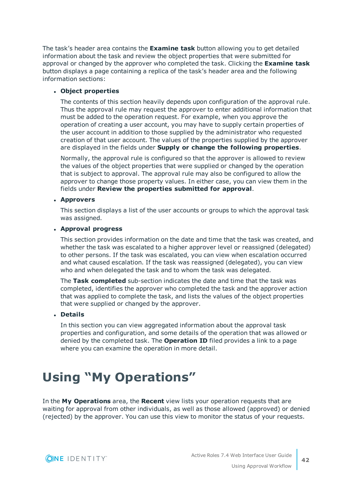The task's header area contains the **Examine task** button allowing you to get detailed information about the task and review the object properties that were submitted for approval or changed by the approver who completed the task. Clicking the **Examine task** button displays a page containing a replica of the task's header area and the following information sections:

### <sup>l</sup> **Object properties**

The contents of this section heavily depends upon configuration of the approval rule. Thus the approval rule may request the approver to enter additional information that must be added to the operation request. For example, when you approve the operation of creating a user account, you may have to supply certain properties of the user account in addition to those supplied by the administrator who requested creation of that user account. The values of the properties supplied by the approver are displayed in the fields under **Supply or change the following properties**.

Normally, the approval rule is configured so that the approver is allowed to review the values of the object properties that were supplied or changed by the operation that is subject to approval. The approval rule may also be configured to allow the approver to change those property values. In either case, you can view them in the fields under **Review the properties submitted for approval**.

### <sup>l</sup> **Approvers**

This section displays a list of the user accounts or groups to which the approval task was assigned.

### <sup>l</sup> **Approval progress**

This section provides information on the date and time that the task was created, and whether the task was escalated to a higher approver level or reassigned (delegated) to other persons. If the task was escalated, you can view when escalation occurred and what caused escalation. If the task was reassigned (delegated), you can view who and when delegated the task and to whom the task was delegated.

The **Task completed** sub-section indicates the date and time that the task was completed, identifies the approver who completed the task and the approver action that was applied to complete the task, and lists the values of the object properties that were supplied or changed by the approver.

### <sup>l</sup> **Details**

In this section you can view aggregated information about the approval task properties and configuration, and some details of the operation that was allowed or denied by the completed task. The **Operation ID** filed provides a link to a page where you can examine the operation in more detail.

## <span id="page-41-0"></span>**Using "My Operations"**

In the **My Operations** area, the **Recent** view lists your operation requests that are waiting for approval from other individuals, as well as those allowed (approved) or denied (rejected) by the approver. You can use this view to monitor the status of your requests.

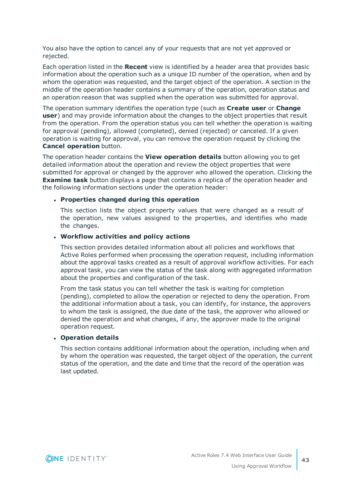You also have the option to cancel any of your requests that are not yet approved or rejected.

Each operation listed in the **Recent** view is identified by a header area that provides basic information about the operation such as a unique ID number of the operation, when and by whom the operation was requested, and the target object of the operation. A section in the middle of the operation header contains a summary of the operation, operation status and an operation reason that was supplied when the operation was submitted for approval.

The operation summary identifies the operation type (such as **Create user** or **Change user**) and may provide information about the changes to the object properties that result from the operation. From the operation status you can tell whether the operation is waiting for approval (pending), allowed (completed), denied (rejected) or canceled. If a given operation is waiting for approval, you can remove the operation request by clicking the **Cancel operation** button.

The operation header contains the **View operation details** button allowing you to get detailed information about the operation and review the object properties that were submitted for approval or changed by the approver who allowed the operation. Clicking the **Examine task** button displays a page that contains a replica of the operation header and the following information sections under the operation header:

### <sup>l</sup> **Properties changed during this operation**

This section lists the object property values that were changed as a result of the operation, new values assigned to the properties, and identifies who made the changes.

#### <sup>l</sup> **Workflow activities and policy actions**

This section provides detailed information about all policies and workflows that Active Roles performed when processing the operation request, including information about the approval tasks created as a result of approval workflow activities. For each approval task, you can view the status of the task along with aggregated information about the properties and configuration of the task.

From the task status you can tell whether the task is waiting for completion (pending), completed to allow the operation or rejected to deny the operation. From the additional information about a task, you can identify, for instance, the approvers to whom the task is assigned, the due date of the task, the approver who allowed or denied the operation and what changes, if any, the approver made to the original operation request.

#### <sup>l</sup> **Operation details**

This section contains additional information about the operation, including when and by whom the operation was requested, the target object of the operation, the current status of the operation, and the date and time that the record of the operation was last updated.